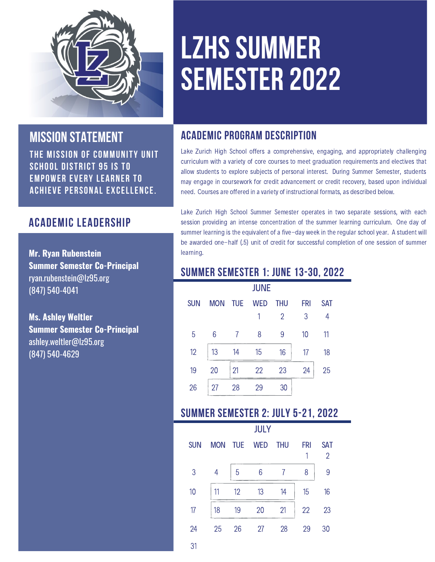

## **mission statement**

The mission of Community Unit school District 95 is to empower every learner to achieve personal excellence.

## **ACADEMIC LEADERSHIP**

**Mr. Ryan Rubenstein Summer Semester Co-Principal** ryan.rubenstein@lz95.org (847) 540-4041

**Ms. Ashley Weltler Summer Semester Co-Principal** ashley.weltler@lz95.org (847) 540-4629

# **LZHS SUMMER SEMESTER 2022**

## **academic program description**

Lake Zurich High School offers a comprehensive, engaging, and appropriately challenging curriculum with a variety of core courses to meet graduation requirements and electives that allow students to explore subjects of personal interest. During Summer Semester, students may engage in coursework for credit advancement or credit recovery, based upon individual need. Courses are offered in a variety of instructional formats, as described below.

Lake Zurich High School Summer Semester operates in two separate sessions, with each session providing an intense concentration of the summer learning curriculum. One day of summer learning is the equivalent of a five-day week in the regular school year. A student will be awarded one-half (.5) unit of credit for successful completion of one session of summer learning.

## **Summer Semester 1: June 13-30, 2022**

| <b>JUNE</b> |            |            |            |                |            |            |  |
|-------------|------------|------------|------------|----------------|------------|------------|--|
| <b>SUN</b>  | <b>MON</b> | <b>TUE</b> | <b>WED</b> | <b>THU</b>     | <b>FRI</b> | <b>SAT</b> |  |
|             |            |            | 1          | $\overline{2}$ | 3          | 4          |  |
| 5           | 6          | 7          | 8          | 9              | 10         | 11         |  |
| 12          | 13         | 14         | 15         | 16             | 17         | 18         |  |
| 19          | 20         | 21         | 22         | 23             | 24         | 25         |  |
| 26          | 27         | 28         | 29         | 30             |            |            |  |

## **Summer Semester 2: July 5-21, 2022**

|            |            |            | <b>JULY</b> |            |                 |                |
|------------|------------|------------|-------------|------------|-----------------|----------------|
| <b>SUN</b> | <b>MON</b> | <b>TUE</b> | <b>WED</b>  | <b>THU</b> | <b>FRI</b><br>1 | <b>SAT</b>     |
|            |            |            |             |            |                 | $\overline{2}$ |
| 3          | 4          | 5          | 6           | 7          | 8               | 9              |
| 10         | 11         | 12         | 13          | 14         | 15              | 16             |
| 17         | 18         | 19         | 20          | 21         | 22              | 23             |
| 24         | 25         | 26         | 27          | 28         | 29              | 30             |
| 31         |            |            |             |            |                 |                |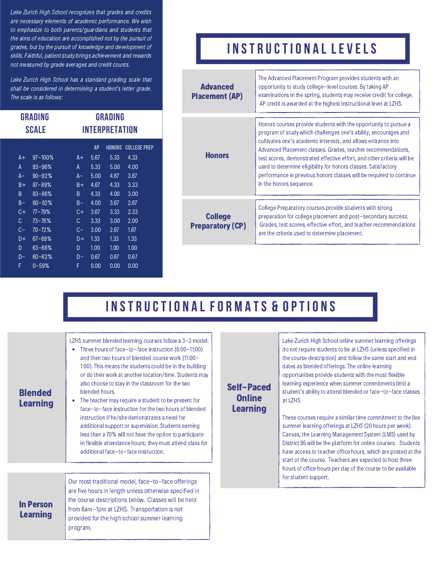Lake Zurich High School recognizes that grades and credits are necessary elements of academic performance. We wish to emphasize to both parents/guardians and students that the aims of education are accomplished not by the pursuit of grades, but by the pursuit of knowledge and development of skills. Faithful, patient study brings achievement and rewards not measured by grade averages and credit counts.

Lake Zurich High School has a standard grading scale that shall be considered in determining a student's letter grade. The scale is as follows:

| GRADING<br><b>SCALE</b> |             | GRADING<br>INTERPRETATION |      |               |                     |
|-------------------------|-------------|---------------------------|------|---------------|---------------------|
|                         |             |                           | AP   | <b>HONORS</b> | <b>COLLEGE PREP</b> |
| $A +$                   | $97 - 100%$ | A+                        | 5.67 | 5.33          | 4.33                |
| A                       | $93 - 96%$  | A                         | 5.33 | 5.00          | 4.00                |
| A-                      | $90 - 92%$  | A- 1                      | 5.00 | 4.67          | 3.67                |
| $B +$                   | $87 - 89%$  | $B+$                      | 4.67 | 4.33          | 3.33                |
| B                       | $83 - 86%$  | B                         | 4.33 | 4.00          | 3.00                |
| $B -$                   | $80 - 82%$  | $B -$                     | 4.00 | 3.67          | 2.67                |
| $\overline{C}+$         | $77 - 79%$  | C+                        | 3.67 | 3.33          | 2.33                |
| C                       | $73 - 76%$  | C                         | 3.33 | 3.00          | 2.00                |
| $C-$                    | $70 - 72%$  | C-                        | 3.00 | 2.67          | 1.67                |
| D+                      | $67 - 69%$  | $\overline{D+}$           | 1.33 | 1.33          | 1.33                |
| D                       | 63-66%      | D                         | 1.00 | 1.00          | 100                 |
| D-                      | $60 - 62%$  | D-                        | 0.67 | 0.67          | 0.67                |
| F                       | $0 - 59%$   | F                         | 0.00 | 0.00          | 0.00                |

## **i n st r uctio n a l LE V ELS**

| <b>Advanced</b><br><b>Placement (AP)</b>  | The Advanced Placement Program provides students with an<br>opportunity to study college-level courses. By taking AP<br>examinations in the spring, students may receive credit for college.<br>AP credit is awarded at the highest instructional level at LZHS.                                                                                                                                                                                                                                                   |  |  |  |
|-------------------------------------------|--------------------------------------------------------------------------------------------------------------------------------------------------------------------------------------------------------------------------------------------------------------------------------------------------------------------------------------------------------------------------------------------------------------------------------------------------------------------------------------------------------------------|--|--|--|
| <b>Honors</b>                             | Honors courses provide students with the opportunity to pursue a<br>program of study which challenges one's ability, encourages and<br>cultivates one's academic interests, and allows entrance into<br>Advanced Placement classes. Grades, teacher recommendations,<br>test scores, demonstrated effective effort, and other criteria will be<br>used to determine eligibility for honors classes. Satisfactory<br>performance in previous honors classes will be required to continue<br>in the honors sequence. |  |  |  |
| <b>College</b><br><b>Preparatory (CP)</b> | College Preparatory courses provide students with strong<br>preparation for college placement and post-secondary success.<br>Grades, test scores, effective effort, and teacher recommendations<br>are the criteria used to determine placement.                                                                                                                                                                                                                                                                   |  |  |  |

## **I N ST R UCTIO N A L FO R M A TS & Optio n s**

| <b>Blended</b><br><b>Learning</b>   | Three hours of face-to-face instruction (8:00-11:00)<br>and then two hours of blended course work (11:00-<br>1:00). This means the students could be in the building<br>or do their work at another location/time. Students may<br>also choose to stay in the classroom for the two<br>blended hours.<br>The teacher may require a student to be present for<br>face-to-face instruction for the two hours of blended<br>instruction if he/she demonstrates a need for<br>additional support or supervision. Students earning<br>less than a 70% will not have the option to participate<br>in flexible attendance hours; they must attend class for<br>additional face-to-face instruction. |
|-------------------------------------|----------------------------------------------------------------------------------------------------------------------------------------------------------------------------------------------------------------------------------------------------------------------------------------------------------------------------------------------------------------------------------------------------------------------------------------------------------------------------------------------------------------------------------------------------------------------------------------------------------------------------------------------------------------------------------------------|
|                                     |                                                                                                                                                                                                                                                                                                                                                                                                                                                                                                                                                                                                                                                                                              |
| <b>In Person</b><br><b>Learning</b> | Our most traditional model, face-to-face offerings<br>are five hours in length unless otherwise specified in<br>the course descriptions below. Classes will be held<br>from 8am-1pm at LZHS. Transportation is not<br>provided for the high school summer learning<br>program.                                                                                                                                                                                                                                                                                                                                                                                                               |

LZHS summer blended learning courses follow a 3-2 model:

### Self-Paced **Online** Learning

Lake Zurich High School online summer learning offerings do not require students to be at LZHS (unless specified in the course description) and follow the same start and end dates as blended offerings. The online learning opportunities provide students with the most flexible learning experience when summer commitments limit a student's ability to attend blended or face-to-face classes at LZHS.

These courses require a similar time commitment to the live summer learning offerings at LZHS (20 hours per week). Canvas, the Learning Management System (LMS) used by District 95 will be the platform for online courses. Students have access to teacher office hours, which are posted at the start of the course. Teachers are expected to host three hours of office hours per day of the course to be available for student support.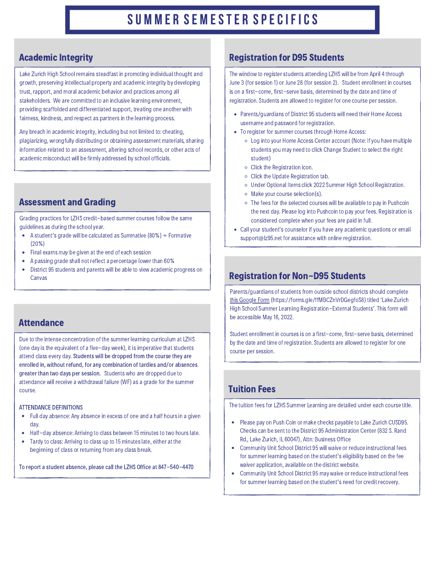#### Academic Integrity

Lake Zurich High School remains steadfast in promoting individual thought and growth, preserving intellectual property and academic integrity by developing trust, rapport, and moral academic behavior and practices among all stakeholders. We are committed to an inclusive learning environment, providing scaffolded and differentiated support, treating one another with fairness, kindness, and respect as partners in the learning process.

Any breach in academic integrity, including but not limited to: cheating, plagiarizing, wrongfully distributing or obtaining assessment materials, sharing information related to an assessment, altering school records, or other acts of academic misconduct will be firmly addressed by school officials.

### Assessment and Grading

Grading practices for LZHS credit-based summer courses follow the same guidelines as during the school year.

- A student's grade will be calculated as Summative (80%) + Formative (20%)
- Final exams  $may$  be given at the end of each session  $\bullet$
- A passing grade shall not reflect a percentage lower than 60%
- District 95 students and parents will be able to view academic progress on Canvas

#### **Attendance**

Due to the intense concentration of the summer learning curriculum atLZHS (one day is the equivalent of a five-day week), it is imperative that students attend class every day. Students will be dropped from the course they are enrolled in, without refund, for any combination of tardies and/or absences greater than two days per session. Students who are dropped due to attendance will receive a withdrawal failure (WF) as a grade for the summer course.

#### ATTENDANCE DEFINITIONS

- Full day absence: Any absence in excess of one and a half hours in a given day.
- Half-day absence: Arriving to class between 15 minutes to two hours late.
- Tardy to class: Arriving to class up to 15 minutes late, either at the beginning of class or returning from any class break.

To report a student absence, please call the LZHS Office at 847-540-4470

#### Registration for D95 Students

The window to register students attending LZHS will be from April 4 through June 3 (for session 1) or June 28 (for session 2). Student enrollment in courses is on a first-come, first-serve basis, determined bythe date and time of registration. Students are allowed to register for one course persession.

- Parents/guardians of District 95 students will need their Home Access username and password for registration.
- To register for summer courses through Home Access:
	- Log into your Home Access Center account (Note: Ifyou have multiple studentsyou may need to click Change Student to select the right student)
	- Click the Registration icon.
	- Click the Update Registration tab.
	- Under Optional Items click 2022 Summer High School Registration.
	- Make your course selection(s).
	- o The fees for the selected courses will be available to pay in Pushcoin the next day. Please log into Pushcoin to payyour fees. Registration is considered complete when your fees are paid in full.
- Call your student's counselor if you have any academic questions or email [support@lz95.net](mailto:support@lz95.net) for assistance with online registration.

#### Registration for Non-D95 Students

Parents/guardians of students from outside school districts should complete this [Google](https://forms.gle/ffMBCZnVrDGegfoS8) Form [\(https://forms.gle/ffMBCZnVrDGegfoS8\)](https://forms.gle/ffMBCZnVrDGegfoS8) titled 'Lake Zurich High School Summer Learning Registration-External Students'. This form will be accessible May16, 2022.

Student enrollment in courses is on a first-come, first-serve basis, determined bythe date and time of registration. Students are allowed to register for one course per session.

### Tuition Fees

The tuition fees for LZHS Summer Learning are detailed under each course title.

- Please pay on Push Coin or make checks payable to Lake Zurich CUSD95. Checks can be sent to the District 95 Administration Center (832 S. Rand Rd., Lake Zurich, IL 60047), Attn: Business Office
- Community Unit School District 95 will waive or reduce instructional fees for summer learning based on the student's eligibility based on the fee waiver application, available on the district [website.](https://www.lz95.org/departments/business-operations)
- Community Unit School District 95 may waive or reduce instructional fees for summer learning based on the student's need for credit recovery.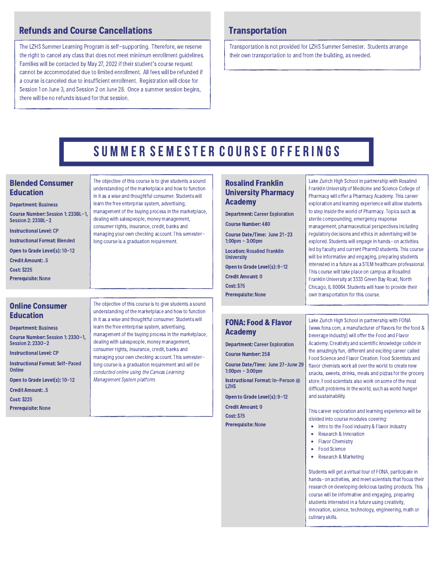#### Refunds and Course Cancellations

The LZHS Summer Learning Program is self-supporting. Therefore, we reserve the right to cancel any class that does not meet minimum enrollment guidelines. Families will be contacted by May 27, 2022 if their student's course request cannot be accommodated due to limited enrollment. All fees will be refunded if a course is canceled due to insufficient enrollment. Registration will close for Session 1 on June 3, and Session 2 on June 28. Once a summer session begins, there will be no refunds issued for that session.

#### **Transportation**

Transportation is not provided for LZHS Summer Semester. Students arrange their own transportation to and from the building, as needed.

## **su m m e r se m este r cou r se of fe r i n gs**

#### Blended Consumer Education

Department: Business

Course Number: Session 1: 233BL-1, Session 2: 233BL-2

Instructional Level: CP

Instructional Format: Blended

Open to Grade Level(s): 10-12

Credit Amount: .5

Cost: \$225

Prerequisite: None

#### Online Consumer Education

Department: Business Course Number: Session 1: 233O-1, Session 2: 233O-2 Instructional Level: CP Instructional Format: Self-Paced Online Open to Grade Level(s): 10-12 Credit Amount: .5 Cost: \$225 Prerequisite: None

The objective of this course is to give students a sound understanding of the marketplace and how to function in it as a wise and thoughtful consumer. Students will learn the free enterprise system, advertising, management of the buying processin the marketplace, dealing with salespeople, money management, consumer rights, insurance, credit, banks and managing your own checking account. This semesterlong course is a graduation requirement and will be conducted online using the Canvas Learning Management System platform.

The objective of this course is to give students a sound understanding of the marketplace and how to function in it as a wise and thoughtful consumer. Students will learn the free enterprise system, advertising, management of the buying processin the marketplace, dealing with salespeople, money management, consumer rights, insurance, credit, banks and managing your own checking account. This semester-

long course is a graduation requirement.

#### Rosalind Franklin University Pharmacy Academy

Department: Career Exploration Course Number: 480 Course Date/Time: June 21-23 1:00pm - 3:00pm Location: Rosalind Franklin University Open to Grade Level(s): 9-12 Credit Amount: 0

Cost: \$75 Prerequisite: None

#### FONA: Food & Flavor Academy

Department: Career Exploration

Course Number: 258

Course Date/Time: June 27-June 29 1:00pm - 3:00pm

Instructional Format: In-Person @ LZHS

Open to Grade Level(s): 9-12

Credit Amount: 0 Cost: \$75

Lake Zurich High School in partnership with Rosalind Franklin University of Medicine and Science College of Pharmacy will offer a Pharmacy Academy. This career exploration and learning experience will allow students to step inside the world of Pharmacy. Topics such as sterile compounding, emergency response management, pharmaceutical perspectives including regulatory decisions and ethics in advertising will be explored. Students will engage in hands-on activities led by faculty and current PharmD students. This course will be informative and engaging, preparing students interested in a future as a STEM healthcare professional. This course will take place on campus at Rosalind Franklin University at 3333 Green Bay Road, North Chicago, IL 60064. Students will have to provide their own transportation for this course.

Lake Zurich High School in partnership with FONA ([www.fona.com,](https://linkprotect.cudasvc.com/url?a=http%3a%2f%2fwww.fona.com&c=E,1,kxMCYdduwH1rgxCU_vD8IlKAkA7GtKv0ABFPDaMIDu_loIyf4bMki3ZP1soQ6CMsUBSq5IdAi358CyLwLSsGXo9wx-ncuYOIwmadUAVqn5yX4g,,&typo=1) a manufacturer of flavors for the food & beverage industry) will offer the Food and Flavor Academy. Creativity and scientific knowledge collide in the amazingly fun, different and exciting career called Food Science and Flavor Creation. Food Scientists and flavor chemists work all over the world to create new snacks, sweets, drinks, meals and pizzas for the grocery store. Food scientists also work on some of the most difficult problems in the world, such as world hunger and sustainability.

This career exploration and learning experience will be divided into course modules covering:

- **Prerequisite: None Intro to the Food industry & Flavor industry** 
	- Research & Innovation
	- Flavor Chemistry
	- $\bullet$ Food Science
	- $\bullet$ Research & Marketing

Students will get a virtual tour of FONA, participate in hands-on activities, and meet scientists that focus their research on developing delicious tasting products. This course will be informative and engaging, preparing students interested in a future using creativity, innovation, science, technology, engineering, math or culinaryskills.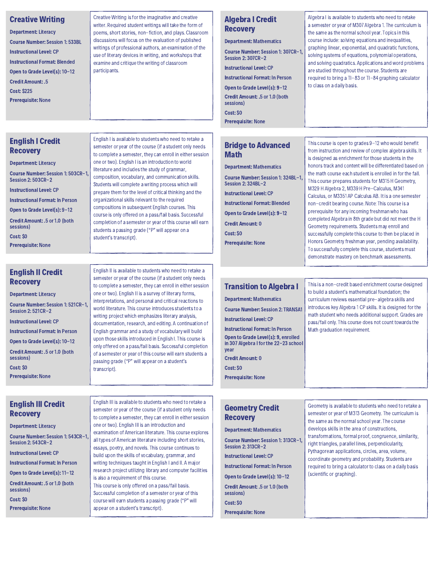| <b>Creative Writing</b><br><b>Department: Literacy</b><br><b>Course Number: Session 1: 533BL</b><br><b>Instructional Level: CP</b><br><b>Instructional Format: Blended</b><br>Open to Grade Level(s): 10-12<br><b>Credit Amount: .5</b><br><b>Cost: \$225</b><br><b>Prerequisite: None</b><br><b>English I Credit</b><br><b>Recovery</b>                                 | Creative Writing is for the imaginative and creative<br>writer. Required student writings will take the form of<br>poems, short stories, non-fiction, and plays. Classroom<br>discussions will focus on the evaluation of published<br>writings of professional authors, an examination of the<br>use of literary devices in writing, and workshops that<br>examine and critique the writing of classroom<br>participants.<br>English I is available to students who need to retake a<br>semester or year of the course (if a student only needs<br>to complete a semester, they can enroll in either session                                                                                                                                                                                                                                                                                                            | <b>Algebra I Credit</b><br><b>Recovery</b><br><b>Department: Mathematics</b><br>Course Number: Session 1: 307CR-1,<br>Session 2: 307CR-2<br><b>Instructional Level: CP</b><br><b>Instructional Format: In Person</b><br>Open to Grade Level(s): 9-12<br>Credit Amount: .5 or 1.0 (both<br>sessions)<br>Cost: SO<br><b>Prerequisite: None</b><br><b>Bridge to Advanced</b><br><b>Math</b> | Algebra I is available to students who need to retake<br>a semester or year of M307 Algebra 1. The curriculum is<br>the same as the normal school year. Topics in this<br>course include: solving equations and inequalities,<br>graphing linear, exponential, and quadratic functions,<br>solving systems of equations, polynomial operations,<br>and solving quadratics. Applications and word problems<br>are studied throughout the course. Students are<br>required to bring a TI-83 or TI-84 graphing calculator<br>to class on a daily basis.<br>This course is open to grades 9-12 who would benefit<br>from instruction and review of complex algebra skills. It                                                                                                                |
|--------------------------------------------------------------------------------------------------------------------------------------------------------------------------------------------------------------------------------------------------------------------------------------------------------------------------------------------------------------------------|--------------------------------------------------------------------------------------------------------------------------------------------------------------------------------------------------------------------------------------------------------------------------------------------------------------------------------------------------------------------------------------------------------------------------------------------------------------------------------------------------------------------------------------------------------------------------------------------------------------------------------------------------------------------------------------------------------------------------------------------------------------------------------------------------------------------------------------------------------------------------------------------------------------------------|------------------------------------------------------------------------------------------------------------------------------------------------------------------------------------------------------------------------------------------------------------------------------------------------------------------------------------------------------------------------------------------|------------------------------------------------------------------------------------------------------------------------------------------------------------------------------------------------------------------------------------------------------------------------------------------------------------------------------------------------------------------------------------------------------------------------------------------------------------------------------------------------------------------------------------------------------------------------------------------------------------------------------------------------------------------------------------------------------------------------------------------------------------------------------------------|
| <b>Department: Literacy</b><br>Course Number: Session 1: 503CR-1.<br>Session 2: 503CR-2<br><b>Instructional Level: CP</b><br><b>Instructional Format: In Person</b><br>Open to Grade Level(s): 9-12<br>Credit Amount: .5 or 1.0 (both<br>sessions)<br>Cost: \$0<br><b>Prerequisite: None</b>                                                                             | one or two). English I is an introduction to world<br>literature and includes the study of grammar,<br>composition, vocabulary, and communication skills.<br>Students will complete a writing process which will<br>prepare them for the level of critical thinking and the<br>organizational skills relevant to the required<br>compositions in subsequent English courses. This<br>course is only offered on a pass/fail basis. Successful<br>completion of a semester or year of this course will earn<br>students a passing grade ("P" will appear on a<br>student's transcript).                                                                                                                                                                                                                                                                                                                                    | <b>Department: Mathematics</b><br>Course Number: Session 1: 324BL-1,<br>Session 2: 324BL-2<br><b>Instructional Level: CP</b><br><b>Instructional Format: Blended</b><br>Open to Grade Level(s): 9-12<br><b>Credit Amount: 0</b><br>Cost: SO<br><b>Prerequisite: None</b>                                                                                                                 | is designed as enrichment for those students in the<br>honors track and content will be differentiated based on<br>the math course each student is enrolled in for the fall.<br>This course prepares students for M315 H Geometry,<br>M329 H Algebra 2, M339 H Pre-Calculus, M341<br>Calculus, or M3351 AP Calculus AB. It is a one semester<br>non-credit bearing course. Note: This course is a<br>prerequisite for any incoming freshman who has<br>completed Algebra in 8th grade but did not meet the H<br>Geometry requirements. Students may enroll and<br>successfully complete this course to then be placed in<br>Honors Geometry freshman year, pending availability.<br>To successfully complete this course, students must<br>demonstrate mastery on benchmark assessments. |
| <b>English II Credit</b><br><b>Recovery</b><br><b>Department: Literacy</b><br>Course Number: Session 1: 521CR-1<br>Session 2: 521CR-2<br><b>Instructional Level: CP</b><br><b>Instructional Format: In Person</b><br>Open to Grade Level(s): 10-12<br>Credit Amount: .5 or 1.0 (both<br>sessions)<br>Cost: \$0<br><b>Prerequisite: None</b><br><b>English III Credit</b> | English II is available to students who need to retake a<br>semester or year of the course (if a student only needs<br>to complete a semester, they can enroll in either session<br>one or two). English II is a survey of literary forms,<br>interpretations, and personal and critical reactions to<br>world literature. This course introduces students to a<br>writing project which emphasizes literary analysis,<br>documentation, research, and editing. A continuation of<br>English grammar and a study of vocabulary will build<br>upon those skills introduced in English I. This course is<br>only offered on a pass/fail basis. Successful completion<br>of a semester or year of this course will earn students a<br>passing grade ("P" will appear on a student's<br>transcript).<br>English III is available to students who need to retake a<br>semester or year of the course (if a student only needs | <b>Transition to Algebra I</b><br><b>Department: Mathematics</b><br><b>Course Number: Session 2: TRANSA1</b><br><b>Instructional Level: CP</b><br><b>Instructional Format: In Person</b><br>Open to Grade Level(s): 9, enrolled<br>in 307 Algebra I for the 22-23 school<br>year<br><b>Credit Amount: 0</b><br>Cost: SO<br><b>Prerequisite: None</b><br><b>Geometry Credit</b>           | This is a non-credit based enrichment course designed<br>to build a student's mathematical foundation; the<br>curriculum reviews essential pre-algebra skills and<br>introduces key Algebra 1 CP skills. It is designed for the<br>math student who needs additional support. Grades are<br>pass/fail only. This course does not count towards the<br>Math graduation requirement.<br>Geometry is available to students who need to retake a<br>semester or year of M313 Geometry. The curriculum is                                                                                                                                                                                                                                                                                     |
| <b>Recovery</b><br><b>Department: Literacy</b><br>Course Number: Session 1: 543CR-1<br>Session 2: 543CR-2                                                                                                                                                                                                                                                                | to complete a semester, they can enroll in either session<br>one or two). English III is an introduction and<br>examination of American literature. This course explores<br>all types of American literature including short stories,                                                                                                                                                                                                                                                                                                                                                                                                                                                                                                                                                                                                                                                                                    | <b>Recovery</b><br><b>Department: Mathematics</b><br>Course Number: Session 1: 313CR-1,                                                                                                                                                                                                                                                                                                  | the same as the normal school year. The course<br>develops skills in the area of constructions,<br>transformations, formal proof, congruence, similarity,<br>right triangles, parallel lines, perpendicularity,                                                                                                                                                                                                                                                                                                                                                                                                                                                                                                                                                                          |

Instructional Level: CP

Instructional Format: In Person

Open to Grade Level(s): 11-12

Credit Amount: .5 or 1.0 (both sessions) Cost: \$0

Prerequisite: None

essays, poetry, and novels. This course continues to build upon the skills of vocabulary, grammar, and writing techniques taught in English I and II. A major research project utilizing library and computer facilities is also a requirement of this course. This course is only offered on a pass/fail basis. Successful completion of a semester or year of this course will earn students a passing grade ("P" will appear on a student's transcript).

Session 2: 313CR-2 Instructional Level: CP

Instructional Format: In Person

Open to Grade Level(s): 10-12

Credit Amount: .5 or 1.0 (both sessions) Cost: \$0 Prerequisite: None

right triangles, parallel lines, perpendicularity, Pythagorean applications, circles, area, volume, coordinate geometry and probability. Students are required to bring a calculator to class on a daily basis (scientific or graphing).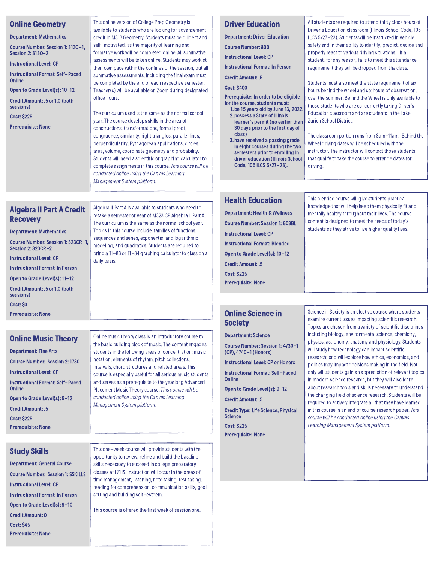| <b>Online Geometry</b><br><b>Department: Mathematics</b><br>Course Number: Session 1: 3130-1,<br>Session 2: 3130-2<br><b>Instructional Level: CP</b><br><b>Instructional Format: Self-Paced</b><br>Online<br>Open to Grade Level(s): 10-12<br>Credit Amount: .5 or 1.0 (both<br>sessions)<br><b>Cost: \$225</b><br><b>Prerequisite: None</b>          | This online version of College Prep Geometry is<br>available to students who are looking for advancement<br>credit in M313 Geometry. Students must be diligent and<br>self-motivated, as the majority of learning and<br>formative work will be completed online. All summative<br>assessments will be taken online. Students may work at<br>their own pace within the confines of the session, but all<br>summative assessments, including the final exam must<br>be completed by the end of each respective semester.<br>Teacher(s) will be available on Zoom during designated<br>office hours.<br>The curriculum used is the same as the normal school<br>year. The course develops skills in the area of<br>constructions, transformations, formal proof,<br>congruence, similarity, right triangles, parallel lines,<br>perpendicularity, Pythagorean applications, circles,<br>area, volume, coordinate geometry and probability.<br>Students will need a scientific or graphing calculator to<br>complete assignments in this course. This course will be<br>conducted online using the Canvas Learning<br>Management System platform. | <b>Driver Education</b><br><b>Department: Driver Education</b><br><b>Course Number: 800</b><br><b>Instructional Level: CP</b><br><b>Instructional Format: In Person</b><br><b>Credit Amount: .5</b><br><b>Cost: \$400</b><br>Prerequisite: In order to be eligible<br>for the course, students must:<br>1. be 15 years old by June 13, 2022.<br>2. possess a State of Illinois<br>learner's permit (no earlier than<br>30 days prior to the first day of<br>class)<br>3. have received a passing grade<br>in eight courses during the two<br>semesters prior to enrolling in<br>driver education (Illinois School<br>Code, 105 ILCS 5/27-23). | All students are required to attend thirty clock hours of<br>Driver's Education classroom (Illinois School Code, 105<br>ILCS 5/27-23). Students will be instructed in vehicle<br>safety and in their ability to identify, predict, decide and<br>properly react to various driving situations. If a<br>student, for any reason, fails to meet this attendance<br>requirement they will be dropped from the class.<br>Students must also meet the state requirement of six<br>hours behind the wheel and six hours of observation,<br>over the summer. Behind the Wheel is only available to<br>those students who are concurrently taking Driver's<br>Education classroom and are students in the Lake<br><b>Zurich School District.</b><br>The classroom portion runs from 8am-11am. Behind the<br>Wheel driving dates will be scheduled with the<br>instructor. The instructor will contact those students<br>that qualify to take the course to arrange dates for<br>driving. |
|-------------------------------------------------------------------------------------------------------------------------------------------------------------------------------------------------------------------------------------------------------------------------------------------------------------------------------------------------------|------------------------------------------------------------------------------------------------------------------------------------------------------------------------------------------------------------------------------------------------------------------------------------------------------------------------------------------------------------------------------------------------------------------------------------------------------------------------------------------------------------------------------------------------------------------------------------------------------------------------------------------------------------------------------------------------------------------------------------------------------------------------------------------------------------------------------------------------------------------------------------------------------------------------------------------------------------------------------------------------------------------------------------------------------------------------------------------------------------------------------------------------|-----------------------------------------------------------------------------------------------------------------------------------------------------------------------------------------------------------------------------------------------------------------------------------------------------------------------------------------------------------------------------------------------------------------------------------------------------------------------------------------------------------------------------------------------------------------------------------------------------------------------------------------------|----------------------------------------------------------------------------------------------------------------------------------------------------------------------------------------------------------------------------------------------------------------------------------------------------------------------------------------------------------------------------------------------------------------------------------------------------------------------------------------------------------------------------------------------------------------------------------------------------------------------------------------------------------------------------------------------------------------------------------------------------------------------------------------------------------------------------------------------------------------------------------------------------------------------------------------------------------------------------------|
| <b>Algebra II Part A Credit</b><br><b>Recovery</b><br><b>Department: Mathematics</b><br>Course Number: Session 1: 323CR-1<br>Session 2: 323CR-2<br><b>Instructional Level: CP</b><br><b>Instructional Format: In Person</b><br>Open to Grade Level(s): 11-12<br>Credit Amount: .5 or 1.0 (both<br>sessions)<br>Cost: \$0<br><b>Prerequisite: None</b> | Algebra II Part A is available to students who need to<br>retake a semester or year of M323 CP Algebra II Part A.<br>The curriculum is the same as the normal school year.<br>Topics in this course include: families of functions,<br>sequences and series, exponential and logarithmic<br>modeling, and quadratics. Students are required to<br>bring a TI-83 or TI-84 graphing calculator to class on a<br>daily basis.                                                                                                                                                                                                                                                                                                                                                                                                                                                                                                                                                                                                                                                                                                                     | <b>Health Education</b><br><b>Department: Health &amp; Wellness</b><br><b>Course Number: Session 1: 803BL</b><br><b>Instructional Level: CP</b><br><b>Instructional Format: Blended</b><br>Open to Grade Level(s): 10-12<br><b>Credit Amount: .5</b><br><b>Cost: \$225</b><br><b>Prerequisite: None</b><br><b>Online Science in</b>                                                                                                                                                                                                                                                                                                           | This blended course will give students practical<br>knowledge that will help keep them physically fit and<br>mentally healthy throughout their lives. The course<br>content is designed to meet the needs of today's<br>students as they strive to live higher quality lives.<br>Science in Society is an elective course where students                                                                                                                                                                                                                                                                                                                                                                                                                                                                                                                                                                                                                                         |
| <b>Online Music Theory</b><br><b>Department: Fine Arts</b>                                                                                                                                                                                                                                                                                            | Online music theory class is an introductory course to<br>the basic building block of music. The content engages<br>students in the following areas of concentration: music                                                                                                                                                                                                                                                                                                                                                                                                                                                                                                                                                                                                                                                                                                                                                                                                                                                                                                                                                                    | <b>Society</b><br><b>Department: Science</b><br>Course Number: Session 1: 4730-1<br>(CP), 4740-1 (Honors)                                                                                                                                                                                                                                                                                                                                                                                                                                                                                                                                     | examine current issues impacting scientific research.<br>Topics are chosen from a variety of scientific disciplines<br>including biology, environmental science, chemistry,<br>physics, astronomy, anatomy and physiology. Students<br>will study how technology can impact scientific                                                                                                                                                                                                                                                                                                                                                                                                                                                                                                                                                                                                                                                                                           |

Instructional Level: CP or Honors Instructional Format: Self-Paced

Open to Grade Level(s): 9-12

Credit Type: Life Science, Physical

Credit Amount: .5

**Online** 

**Science** Cost: \$225 Prerequisite: None research; and will explore how ethics, economics, and politics mayimpact decisions making in the field. Not only will students gain an appreciation of relevant topics in modern science research, but they will also learn about research tools and skills necessary to understand the changing field of science research. Students will be required to actively integrate all that they have learned in this course in an end of course research paper. This course will be conducted online using the Canvas Learning Management System platform.

Department: Fine Arts Course Number: Session 2: 1730 Instructional Level: CP Instructional Format: Self-Paced **Online** Open to Grade Level(s): 9-12 Credit Amount: .5 Cost: \$225 Prerequisite: None

#### students in the following areas of concentration: music notation, elements of rhythm, pitch collections, intervals, chord structures and related areas. This course is especially useful for all serious music students and serves as a prerequisite to the yearlong Advanced Placement Music Theory course. This course will be conducted online using the Canvas Learning Management System platform.

#### Study Skills

Department: General Course Course Number: Session 1: SSKILLS Instructional Level: CP Instructional Format: In Person Open to Grade Level(s): 9-10 Credit Amount: 0 Cost: \$45 Prerequisite: None

This one-week course will provide students with the opportunity to review, refine and build the baseline skills necessary to succeed in college preparatory classes at LZHS. Instruction will occur in the areas of time management, listening, note taking, test taking, reading for comprehension, communication skills, goal setting and building self-esteem.

This course is offered the first week of session one.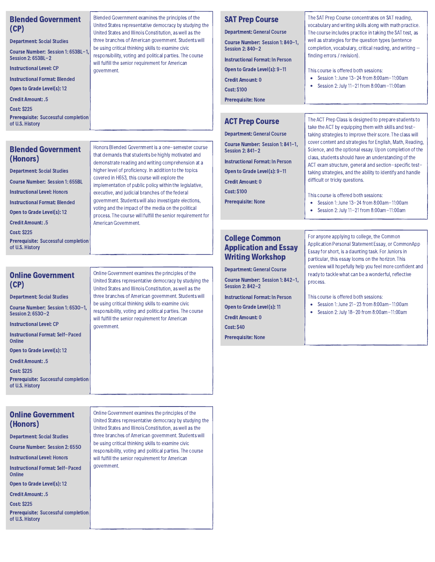| <b>Blended Government</b><br>(CP)                                            | Blended Government examines the principles of the<br>United States representative democracy by studying the<br>United States and Illinois Constitution, as well as the | <b>SAT Prep Course</b><br><b>Department: General Course</b>                                    | The SAT Prep Course concentrates on SAT reading,<br>vocabulary and writing skills along with math practice.<br>The course includes practice in taking the SAT test, as                                       |
|------------------------------------------------------------------------------|------------------------------------------------------------------------------------------------------------------------------------------------------------------------|------------------------------------------------------------------------------------------------|--------------------------------------------------------------------------------------------------------------------------------------------------------------------------------------------------------------|
| <b>Department: Social Studies</b>                                            | three branches of American government. Students will                                                                                                                   | Course Number: Session 1: 840-1.                                                               | well as strategies for the question types (sentence                                                                                                                                                          |
| Course Number: Session 1: 653BL-1.<br>Session 2: 653BL-2                     | be using critical thinking skills to examine civic<br>responsibility, voting and political parties. The course                                                         | Session 2: 840-2<br><b>Instructional Format: In Person</b>                                     | completion, vocabulary, critical reading, and writing $-$<br>finding errors / revision).                                                                                                                     |
| <b>Instructional Level: CP</b>                                               | will fulfill the senior requirement for American<br>government.                                                                                                        | Open to Grade Level(s): 9-11                                                                   | This course is offered both sessions:                                                                                                                                                                        |
| <b>Instructional Format: Blended</b>                                         |                                                                                                                                                                        | <b>Credit Amount: 0</b>                                                                        | Session 1: June 13-24 from 8:00am-11:00am<br>$\bullet$                                                                                                                                                       |
| Open to Grade Level(s): 12                                                   |                                                                                                                                                                        | <b>Cost: \$100</b>                                                                             | Session 2: July 11-21 from 8:00am-11:00am<br>$\bullet$                                                                                                                                                       |
| <b>Credit Amount: .5</b>                                                     |                                                                                                                                                                        | <b>Prerequisite: None</b>                                                                      |                                                                                                                                                                                                              |
| <b>Cost: \$225</b>                                                           |                                                                                                                                                                        |                                                                                                |                                                                                                                                                                                                              |
| Prerequisite: Successful completion<br>of U.S. History                       |                                                                                                                                                                        | <b>ACT Prep Course</b>                                                                         | The ACT Prep Class is designed to prepare students to<br>take the ACT by equipping them with skills and test-                                                                                                |
|                                                                              |                                                                                                                                                                        | <b>Department: General Course</b>                                                              | taking strategies to improve their score. The class will                                                                                                                                                     |
| <b>Blended Government</b><br>(Honors)                                        | Honors Blended Government is a one-semester course<br>that demands that students be highly motivated and<br>demonstrate reading and writing comprehension at a         | Course Number: Session 1: 841-1.<br>Session 2: 841-2<br><b>Instructional Format: In Person</b> | cover content and strategies for English, Math, Reading,<br>Science, and the optional essay. Upon completion of the<br>class, students should have an understanding of the                                   |
| <b>Department: Social Studies</b>                                            | higher level of proficiency. In addition to the topics                                                                                                                 | Open to Grade Level(s): 9-11                                                                   | ACT exam structure, general and section-specific test-<br>taking strategies, and the ability to identify and handle                                                                                          |
| <b>Course Number: Session 1: 655BL</b>                                       | covered in H653, this course will explore the<br>implementation of public policy within the legislative,                                                               | <b>Credit Amount: 0</b>                                                                        | difficult or tricky questions.                                                                                                                                                                               |
| <b>Instructional Level: Honors</b>                                           | executive, and judicial branches of the federal                                                                                                                        | <b>Cost: \$100</b>                                                                             | This course is offered both sessions:                                                                                                                                                                        |
| <b>Instructional Format: Blended</b>                                         | government. Students will also investigate elections,                                                                                                                  | <b>Prerequisite: None</b>                                                                      | Session 1: June 13-24 from 8:00am-11:00am<br>$\bullet$                                                                                                                                                       |
| Open to Grade Level(s): 12                                                   | voting and the impact of the media on the political<br>process. The course will fulfill the senior requirement for                                                     |                                                                                                | Session 2: July 11-21 from 8:00am-11:00am<br>٠                                                                                                                                                               |
| <b>Credit Amount: .5</b>                                                     | American Government.                                                                                                                                                   |                                                                                                |                                                                                                                                                                                                              |
| <b>Cost: \$225</b><br>Prerequisite: Successful completion<br>of U.S. History |                                                                                                                                                                        | <b>College Common</b><br><b>Application and Essay</b><br><b>Writing Workshop</b>               | For anyone applying to college, the Common<br>Application Personal Statement Essay, or CommonApp<br>Essay for short, is a daunting task. For Juniors in<br>particular, this essay looms on the horizon. This |
| <b>Online Government</b>                                                     | Online Government examines the principles of the                                                                                                                       | <b>Department: General Course</b>                                                              | overview will hopefully help you feel more confident and<br>ready to tackle what can be a wonderful, reflective                                                                                              |

Session 1: June 21-23 from 8:00am-11:00am Session 2: July18-20 from 8:00am-11:00am

This course is offered both sessions:

process.

Course Number: Session 1: 842-1, Session 2: 842-2

Instructional Format: In Person Open to Grade Level(s): 11 Credit Amount: 0 Cost: \$40

Prerequisite: None

#### Online Government (CP)

Department: Social Studies

Course Number: Session 1: 653O-1, Session 2: 653O-2

Instructional Level: CP

Instructional Format: Self-Paced Online

Open to Grade Level(s): 12

Credit Amount: .5

Cost: \$225

Prerequisite: Successful completion of U.S. History

hline Government examines the principles of the United States representative democracy by studying the United States and Illinois Constitution, as well asthe three branches of American government. Students will be using critical thinking skills to examine civic responsibility, voting and political parties. The course will fulfill the senior requirement for American government.

Online Government (Honors)

Department: Social Studies

Course Number: Session 2: 655O

Instructional Level: Honors

Instructional Format: Self-Paced **Online** 

Open to Grade Level(s): 12

Credit Amount: .5

Cost: \$225

Prerequisite: Successful completion of U.S. History

Online Government examines the principles of the United States representative democracy by studying the United States and Illinois Constitution, as well asthe three branches of American government. Students will be using critical thinking skills to examine civic responsibility, voting and political parties. The course will fulfill the senior requirement for American government.